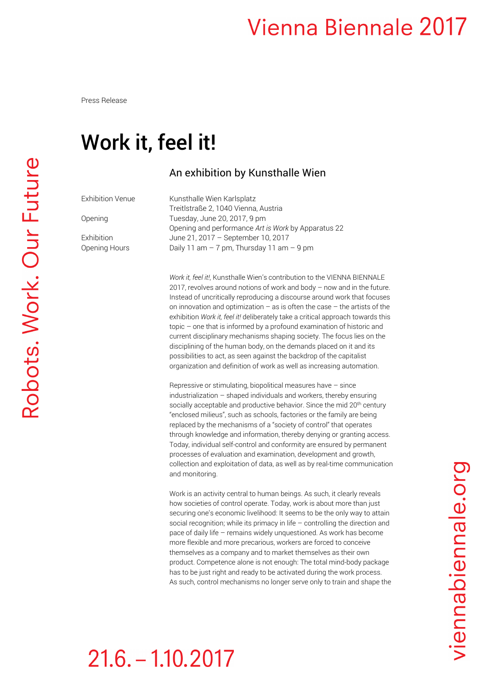## **Vienna Biennale 2017**

Press Release

## Work it, feel it!

#### An exhibition by Kunsthalle Wien

Exhibition Venue Kunsthalle Wien Karlsplatz

 Treitlstraße 2, 1040 Vienna, Austria Opening Tuesday, June 20, 2017, 9 pm Opening and performance *Art is Work* by Apparatus 22 Exhibition June 21, 2017 – September 10, 2017 Opening Hours Daily 11 am – 7 pm, Thursday 11 am – 9 pm

> *Work it, feel it!*, Kunsthalle Wien's contribution to the VIENNA BIENNALE 2017, revolves around notions of work and body – now and in the future. Instead of uncritically reproducing a discourse around work that focuses on innovation and optimization – as is often the case – the artists of the exhibition *Work it, feel it!* deliberately take a critical approach towards this topic – one that is informed by a profound examination of historic and current disciplinary mechanisms shaping society. The focus lies on the disciplining of the human body, on the demands placed on it and its possibilities to act, as seen against the backdrop of the capitalist organization and definition of work as well as increasing automation.

Repressive or stimulating, biopolitical measures have – since industrialization – shaped individuals and workers, thereby ensuring socially acceptable and productive behavior. Since the mid 20<sup>th</sup> century "enclosed milieus", such as schools, factories or the family are being replaced by the mechanisms of a "society of control" that operates through knowledge and information, thereby denying or granting access. Today, individual self-control and conformity are ensured by permanent processes of evaluation and examination, development and growth, collection and exploitation of data, as well as by real-time communication and monitoring.

Work is an activity central to human beings. As such, it clearly reveals how societies of control operate. Today, work is about more than just securing one's economic livelihood: It seems to be the only way to attain social recognition; while its primacy in life – controlling the direction and pace of daily life – remains widely unquestioned. As work has become more flexible and more precarious, workers are forced to conceive themselves as a company and to market themselves as their own product. Competence alone is not enough: The total mind-body package has to be just right and ready to be activated during the work process. As such, control mechanisms no longer serve only to train and shape the

# $21.6 - 1.10.2017$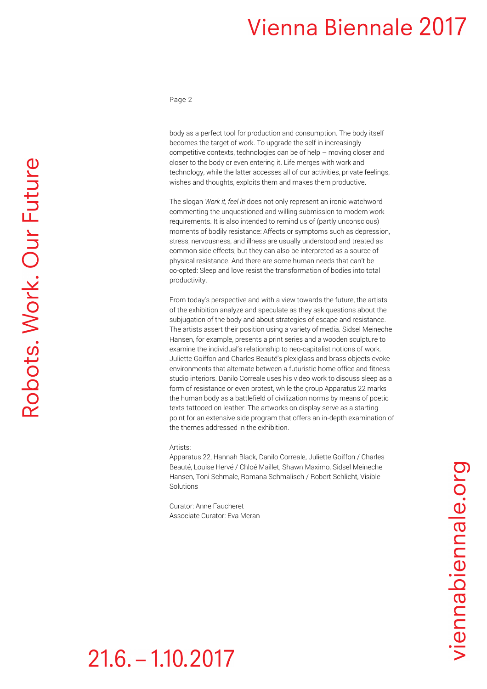### **Vienna Biennale 2017**

Page 2

body as a perfect tool for production and consumption. The body itself becomes the target of work. To upgrade the self in increasingly competitive contexts, technologies can be of help – moving closer and closer to the body or even entering it. Life merges with work and technology, while the latter accesses all of our activities, private feelings, wishes and thoughts, exploits them and makes them productive.

The slogan *Work it, feel it!* does not only represent an ironic watchword commenting the unquestioned and willing submission to modern work requirements. It is also intended to remind us of (partly unconscious) moments of bodily resistance: Affects or symptoms such as depression, stress, nervousness, and illness are usually understood and treated as common side effects; but they can also be interpreted as a source of physical resistance. And there are some human needs that can't be co-opted: Sleep and love resist the transformation of bodies into total productivity.

From today's perspective and with a view towards the future, the artists of the exhibition analyze and speculate as they ask questions about the subjugation of the body and about strategies of escape and resistance. The artists assert their position using a variety of media. Sidsel Meineche Hansen, for example, presents a print series and a wooden sculpture to examine the individual's relationship to neo-capitalist notions of work. Juliette Goiffon and Charles Beauté's plexiglass and brass objects evoke environments that alternate between a futuristic home office and fitness studio interiors. Danilo Correale uses his video work to discuss sleep as a form of resistance or even protest, while the group Apparatus 22 marks the human body as a battlefield of civilization norms by means of poetic texts tattooed on leather. The artworks on display serve as a starting point for an extensive side program that offers an in-depth examination of the themes addressed in the exhibition.

#### Artists:

Apparatus 22, Hannah Black, Danilo Correale, Juliette Goiffon / Charles Beauté, Louise Hervé / Chloé Maillet, Shawn Maximo, Sidsel Meineche Hansen, Toni Schmale, Romana Schmalisch / Robert Schlicht, Visible Solutions

Curator: Anne Faucheret Associate Curator: Eva Meran

 $21.6 - 1.10.2017$